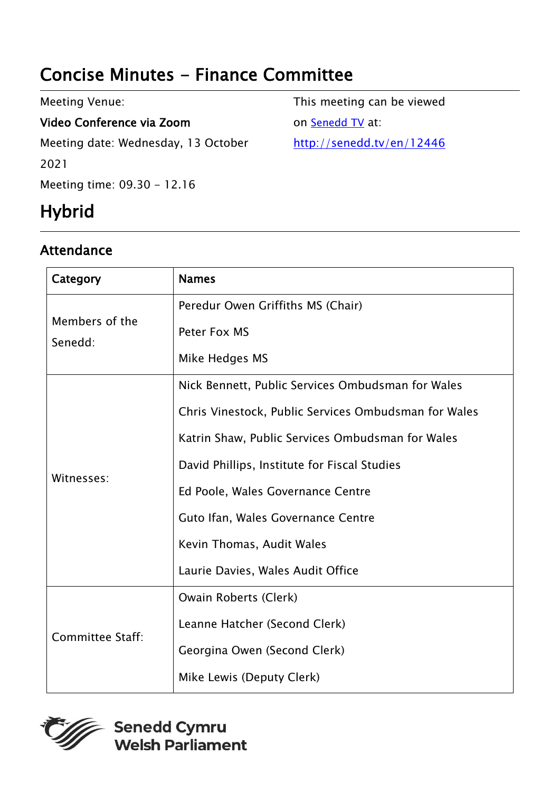## Concise Minutes - Finance Committee

| Meeting Venue:                      | This meeting can be viewed |
|-------------------------------------|----------------------------|
| Video Conference via Zoom           | on Senedd TV at:           |
| Meeting date: Wednesday, 13 October | http://senedd.tv/en/12446  |
| 2021                                |                            |
| Meeting time: 09.30 - 12.16         |                            |

# Hybrid

#### Attendance

| Category                  | <b>Names</b>                                         |
|---------------------------|------------------------------------------------------|
| Members of the<br>Senedd: | Peredur Owen Griffiths MS (Chair)                    |
|                           | Peter Fox MS                                         |
|                           | Mike Hedges MS                                       |
| Witnesses:                | Nick Bennett, Public Services Ombudsman for Wales    |
|                           | Chris Vinestock, Public Services Ombudsman for Wales |
|                           | Katrin Shaw, Public Services Ombudsman for Wales     |
|                           | David Phillips, Institute for Fiscal Studies         |
|                           | Ed Poole, Wales Governance Centre                    |
|                           | Guto Ifan, Wales Governance Centre                   |
|                           | Kevin Thomas, Audit Wales                            |
|                           | Laurie Davies, Wales Audit Office                    |
| <b>Committee Staff:</b>   | Owain Roberts (Clerk)                                |
|                           | Leanne Hatcher (Second Clerk)                        |
|                           | Georgina Owen (Second Clerk)                         |
|                           | Mike Lewis (Deputy Clerk)                            |

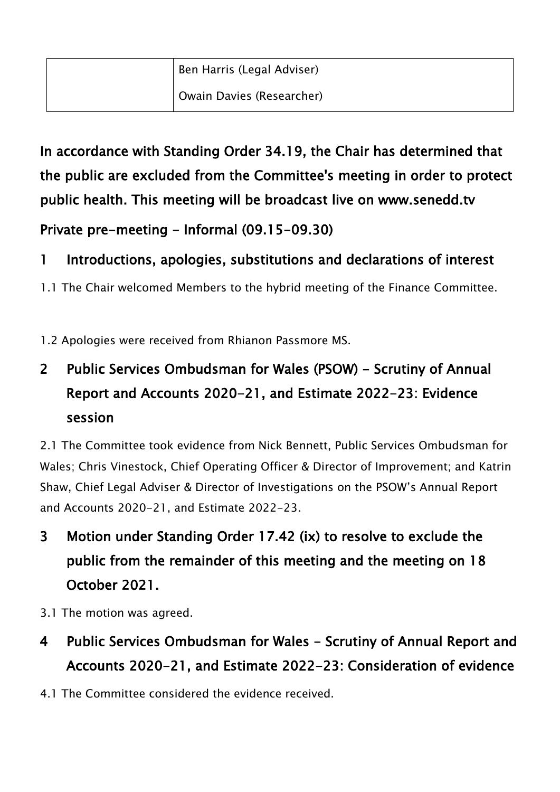In accordance with Standing Order 34.19, the Chair has determined that the public are excluded from the Committee's meeting in order to protect public health. This meeting will be broadcast live on www.senedd.tv

Private pre-meeting - Informal (09.15-09.30)

### 1 Introductions, apologies, substitutions and declarations of interest

1.1 The Chair welcomed Members to the hybrid meeting of the Finance Committee.

1.2 Apologies were received from Rhianon Passmore MS.

## 2 Public Services Ombudsman for Wales (PSOW) - Scrutiny of Annual Report and Accounts 2020-21, and Estimate 2022-23: Evidence session

2.1 The Committee took evidence from Nick Bennett, Public Services Ombudsman for Wales; Chris Vinestock, Chief Operating Officer & Director of Improvement; and Katrin Shaw, Chief Legal Adviser & Director of Investigations on the PSOW's Annual Report and Accounts 2020-21, and Estimate 2022-23.

- 3 Motion under Standing Order 17.42 (ix) to resolve to exclude the public from the remainder of this meeting and the meeting on 18 October 2021.
- 3.1 The motion was agreed.
- 4 Public Services Ombudsman for Wales Scrutiny of Annual Report and Accounts 2020-21, and Estimate 2022-23: Consideration of evidence
- 4.1 The Committee considered the evidence received.